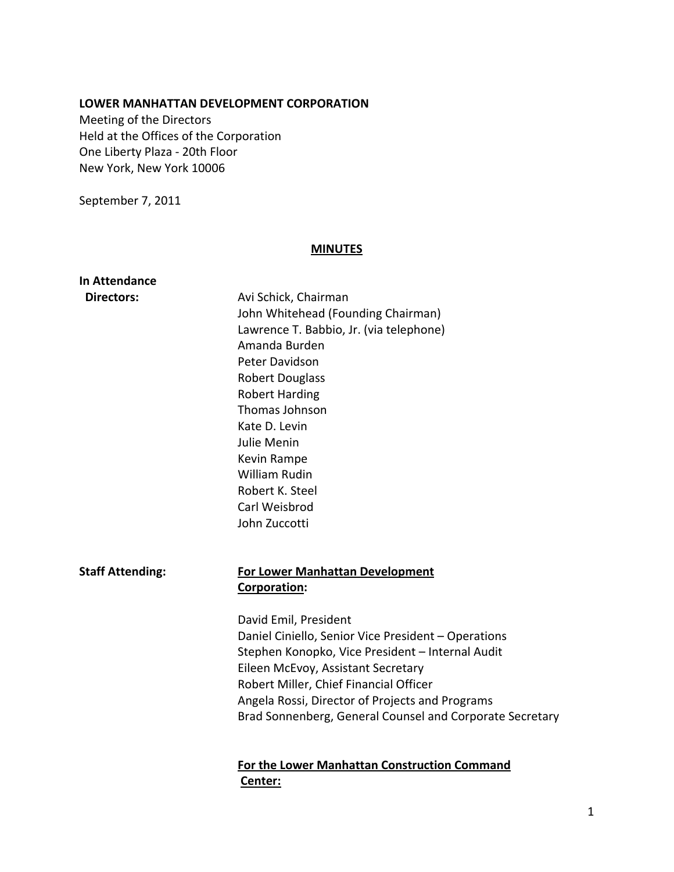## **LOWER MANHATTAN DEVELOPMENT CORPORATION**

Meeting of the Directors Held at the Offices of the Corporation One Liberty Plaza ‐ 20th Floor New York, New York 10006

September 7, 2011

## **MINUTES**

| In Attendance           |                                                          |
|-------------------------|----------------------------------------------------------|
| <b>Directors:</b>       | Avi Schick, Chairman                                     |
|                         | John Whitehead (Founding Chairman)                       |
|                         | Lawrence T. Babbio, Jr. (via telephone)                  |
|                         | Amanda Burden                                            |
|                         | Peter Davidson                                           |
|                         | <b>Robert Douglass</b>                                   |
|                         | <b>Robert Harding</b>                                    |
|                         | Thomas Johnson                                           |
|                         | Kate D. Levin                                            |
|                         | <b>Julie Menin</b>                                       |
|                         | Kevin Rampe                                              |
|                         | <b>William Rudin</b>                                     |
|                         | Robert K. Steel                                          |
|                         | Carl Weisbrod                                            |
|                         | John Zuccotti                                            |
|                         |                                                          |
| <b>Staff Attending:</b> | <b>For Lower Manhattan Development</b>                   |
|                         | Corporation:                                             |
|                         |                                                          |
|                         | David Emil, President                                    |
|                         | Daniel Ciniello, Senior Vice President - Operations      |
|                         | Stephen Konopko, Vice President - Internal Audit         |
|                         | Eileen McEvoy, Assistant Secretary                       |
|                         | Robert Miller, Chief Financial Officer                   |
|                         | Angela Rossi, Director of Projects and Programs          |
|                         | Brad Sonnenberg, General Counsel and Corporate Secretary |
|                         | For the Lower Manhattan Construction Command             |
|                         | Center:                                                  |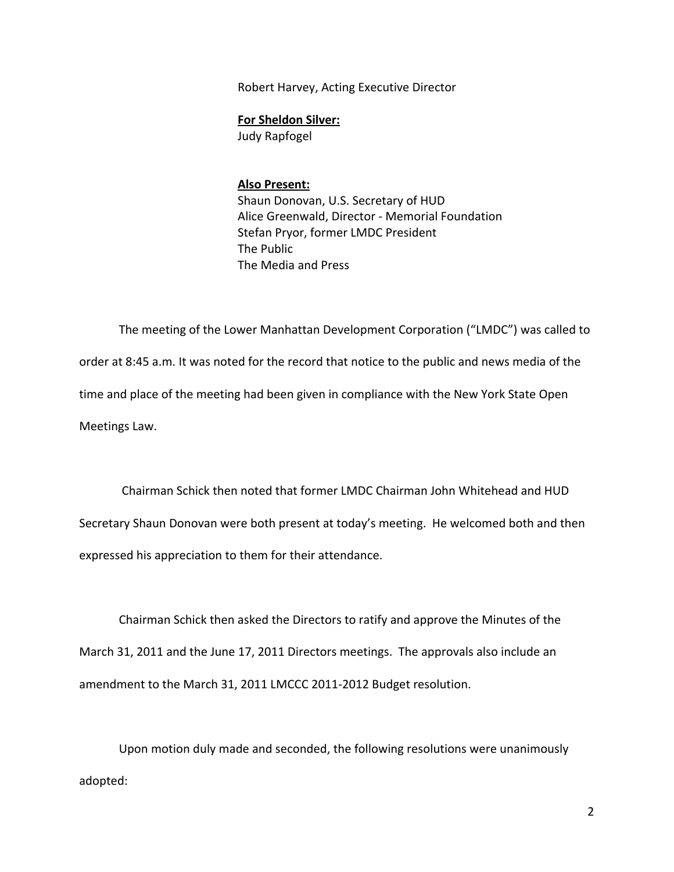Robert Harvey, Acting Executive Director

**For Sheldon Silver:**

Judy Rapfogel

## **Also Present:**

Shaun Donovan, U.S. Secretary of HUD Alice Greenwald, Director ‐ Memorial Foundation Stefan Pryor, former LMDC President The Public The Media and Press

The meeting of the Lower Manhattan Development Corporation ("LMDC") was called to order at 8:45 a.m. It was noted for the record that notice to the public and news media of the time and place of the meeting had been given in compliance with the New York State Open Meetings Law.

 Chairman Schick then noted that former LMDC Chairman John Whitehead and HUD Secretary Shaun Donovan were both present at today's meeting. He welcomed both and then expressed his appreciation to them for their attendance.

Chairman Schick then asked the Directors to ratify and approve the Minutes of the March 31, 2011 and the June 17, 2011 Directors meetings. The approvals also include an amendment to the March 31, 2011 LMCCC 2011‐2012 Budget resolution.

Upon motion duly made and seconded, the following resolutions were unanimously adopted: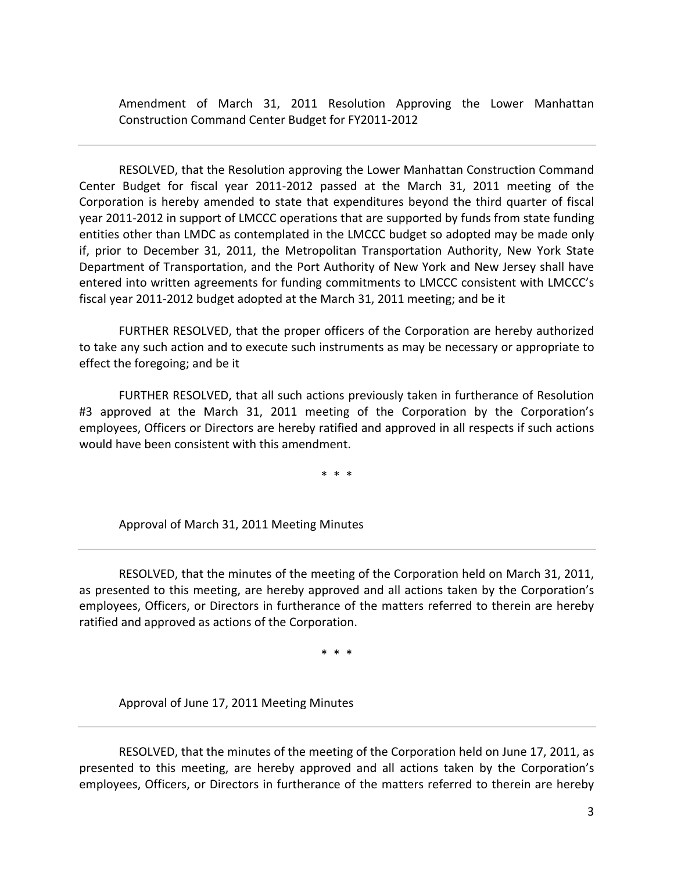Amendment of March 31, 2011 Resolution Approving the Lower Manhattan Construction Command Center Budget for FY2011‐2012

RESOLVED, that the Resolution approving the Lower Manhattan Construction Command Center Budget for fiscal year 2011‐2012 passed at the March 31, 2011 meeting of the Corporation is hereby amended to state that expenditures beyond the third quarter of fiscal year 2011-2012 in support of LMCCC operations that are supported by funds from state funding entities other than LMDC as contemplated in the LMCCC budget so adopted may be made only if, prior to December 31, 2011, the Metropolitan Transportation Authority, New York State Department of Transportation, and the Port Authority of New York and New Jersey shall have entered into written agreements for funding commitments to LMCCC consistent with LMCCC's fiscal year 2011‐2012 budget adopted at the March 31, 2011 meeting; and be it

FURTHER RESOLVED, that the proper officers of the Corporation are hereby authorized to take any such action and to execute such instruments as may be necessary or appropriate to effect the foregoing; and be it

FURTHER RESOLVED, that all such actions previously taken in furtherance of Resolution #3 approved at the March 31, 2011 meeting of the Corporation by the Corporation's employees, Officers or Directors are hereby ratified and approved in all respects if such actions would have been consistent with this amendment.

\* \* \*

Approval of March 31, 2011 Meeting Minutes

RESOLVED, that the minutes of the meeting of the Corporation held on March 31, 2011, as presented to this meeting, are hereby approved and all actions taken by the Corporation's employees, Officers, or Directors in furtherance of the matters referred to therein are hereby ratified and approved as actions of the Corporation.

\* \* \*

Approval of June 17, 2011 Meeting Minutes

RESOLVED, that the minutes of the meeting of the Corporation held on June 17, 2011, as presented to this meeting, are hereby approved and all actions taken by the Corporation's employees, Officers, or Directors in furtherance of the matters referred to therein are hereby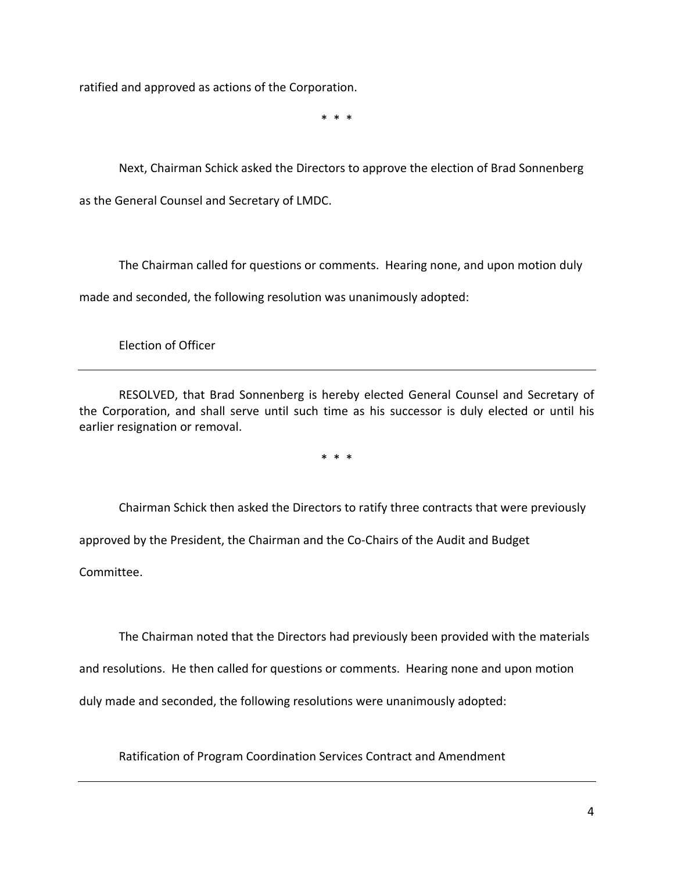ratified and approved as actions of the Corporation.

\* \* \*

Next, Chairman Schick asked the Directors to approve the election of Brad Sonnenberg as the General Counsel and Secretary of LMDC.

The Chairman called for questions or comments. Hearing none, and upon motion duly made and seconded, the following resolution was unanimously adopted:

Election of Officer

RESOLVED, that Brad Sonnenberg is hereby elected General Counsel and Secretary of the Corporation, and shall serve until such time as his successor is duly elected or until his earlier resignation or removal.

\* \* \*

Chairman Schick then asked the Directors to ratify three contracts that were previously

approved by the President, the Chairman and the Co‐Chairs of the Audit and Budget

Committee.

The Chairman noted that the Directors had previously been provided with the materials

and resolutions. He then called for questions or comments. Hearing none and upon motion

duly made and seconded, the following resolutions were unanimously adopted:

Ratification of Program Coordination Services Contract and Amendment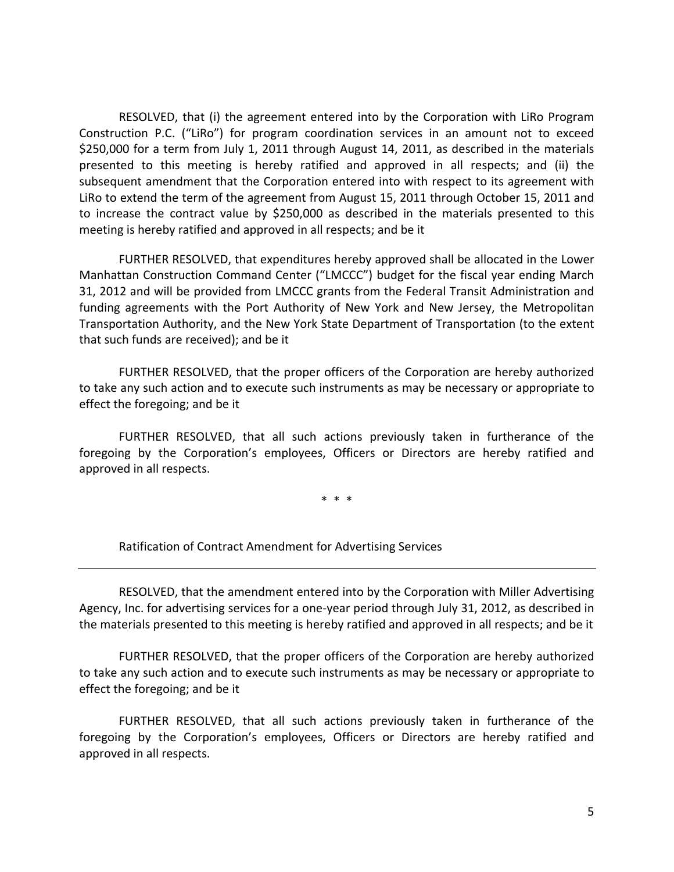RESOLVED, that (i) the agreement entered into by the Corporation with LiRo Program Construction P.C. ("LiRo") for program coordination services in an amount not to exceed \$250,000 for a term from July 1, 2011 through August 14, 2011, as described in the materials presented to this meeting is hereby ratified and approved in all respects; and (ii) the subsequent amendment that the Corporation entered into with respect to its agreement with LiRo to extend the term of the agreement from August 15, 2011 through October 15, 2011 and to increase the contract value by \$250,000 as described in the materials presented to this meeting is hereby ratified and approved in all respects; and be it

FURTHER RESOLVED, that expenditures hereby approved shall be allocated in the Lower Manhattan Construction Command Center ("LMCCC") budget for the fiscal year ending March 31, 2012 and will be provided from LMCCC grants from the Federal Transit Administration and funding agreements with the Port Authority of New York and New Jersey, the Metropolitan Transportation Authority, and the New York State Department of Transportation (to the extent that such funds are received); and be it

FURTHER RESOLVED, that the proper officers of the Corporation are hereby authorized to take any such action and to execute such instruments as may be necessary or appropriate to effect the foregoing; and be it

FURTHER RESOLVED, that all such actions previously taken in furtherance of the foregoing by the Corporation's employees, Officers or Directors are hereby ratified and approved in all respects.

\* \* \*

Ratification of Contract Amendment for Advertising Services

RESOLVED, that the amendment entered into by the Corporation with Miller Advertising Agency, Inc. for advertising services for a one‐year period through July 31, 2012, as described in the materials presented to this meeting is hereby ratified and approved in all respects; and be it

FURTHER RESOLVED, that the proper officers of the Corporation are hereby authorized to take any such action and to execute such instruments as may be necessary or appropriate to effect the foregoing; and be it

FURTHER RESOLVED, that all such actions previously taken in furtherance of the foregoing by the Corporation's employees, Officers or Directors are hereby ratified and approved in all respects.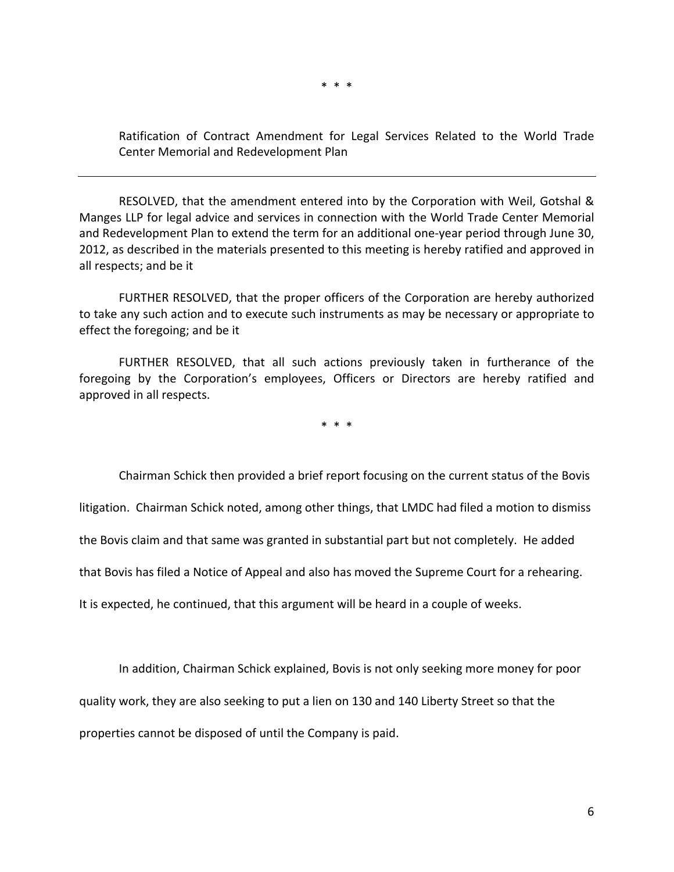\* \* \*

Ratification of Contract Amendment for Legal Services Related to the World Trade Center Memorial and Redevelopment Plan

RESOLVED, that the amendment entered into by the Corporation with Weil, Gotshal & Manges LLP for legal advice and services in connection with the World Trade Center Memorial and Redevelopment Plan to extend the term for an additional one‐year period through June 30, 2012, as described in the materials presented to this meeting is hereby ratified and approved in all respects; and be it

FURTHER RESOLVED, that the proper officers of the Corporation are hereby authorized to take any such action and to execute such instruments as may be necessary or appropriate to effect the foregoing; and be it

FURTHER RESOLVED, that all such actions previously taken in furtherance of the foregoing by the Corporation's employees, Officers or Directors are hereby ratified and approved in all respects.

\* \* \*

Chairman Schick then provided a brief report focusing on the current status of the Bovis

litigation. Chairman Schick noted, among other things, that LMDC had filed a motion to dismiss

the Bovis claim and that same was granted in substantial part but not completely. He added

that Bovis has filed a Notice of Appeal and also has moved the Supreme Court for a rehearing.

It is expected, he continued, that this argument will be heard in a couple of weeks.

In addition, Chairman Schick explained, Bovis is not only seeking more money for poor quality work, they are also seeking to put a lien on 130 and 140 Liberty Street so that the properties cannot be disposed of until the Company is paid.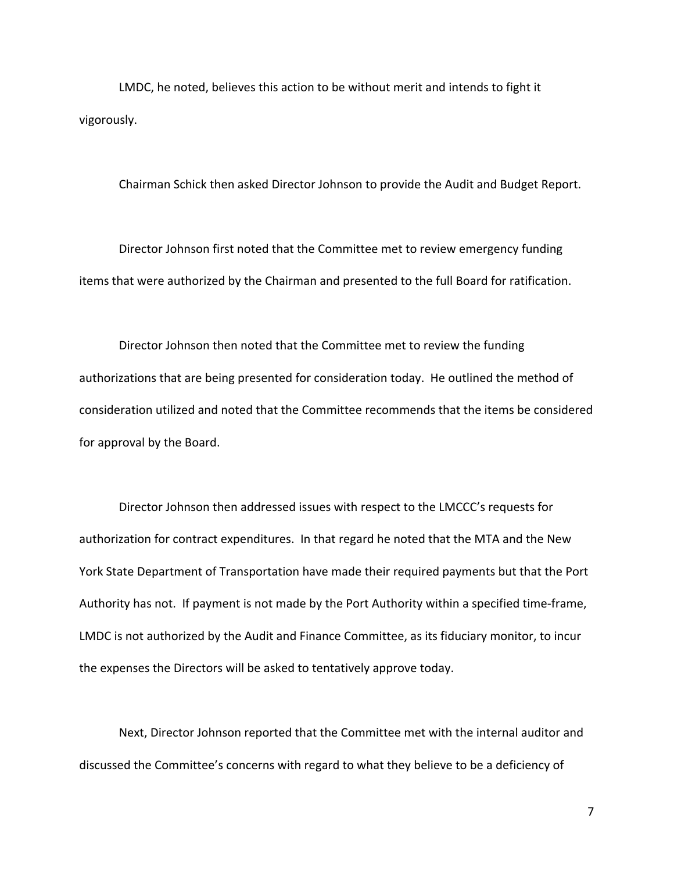LMDC, he noted, believes this action to be without merit and intends to fight it vigorously.

Chairman Schick then asked Director Johnson to provide the Audit and Budget Report.

Director Johnson first noted that the Committee met to review emergency funding items that were authorized by the Chairman and presented to the full Board for ratification.

Director Johnson then noted that the Committee met to review the funding authorizations that are being presented for consideration today. He outlined the method of consideration utilized and noted that the Committee recommends that the items be considered for approval by the Board.

Director Johnson then addressed issues with respect to the LMCCC's requests for authorization for contract expenditures. In that regard he noted that the MTA and the New York State Department of Transportation have made their required payments but that the Port Authority has not. If payment is not made by the Port Authority within a specified time‐frame, LMDC is not authorized by the Audit and Finance Committee, as its fiduciary monitor, to incur the expenses the Directors will be asked to tentatively approve today.

Next, Director Johnson reported that the Committee met with the internal auditor and discussed the Committee's concerns with regard to what they believe to be a deficiency of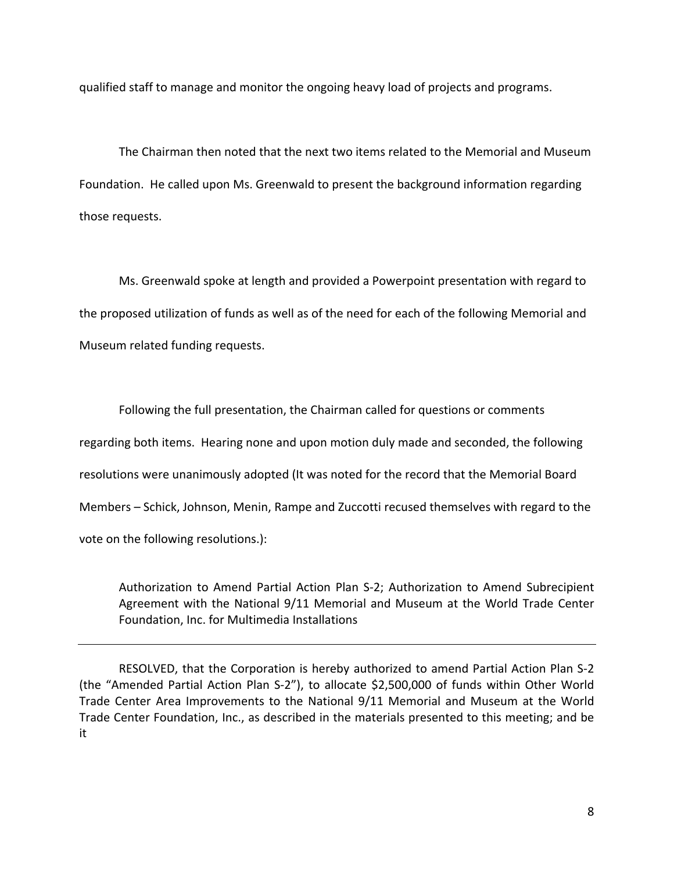qualified staff to manage and monitor the ongoing heavy load of projects and programs.

The Chairman then noted that the next two items related to the Memorial and Museum Foundation. He called upon Ms. Greenwald to present the background information regarding those requests.

Ms. Greenwald spoke at length and provided a Powerpoint presentation with regard to the proposed utilization of funds as well as of the need for each of the following Memorial and Museum related funding requests.

Following the full presentation, the Chairman called for questions or comments regarding both items. Hearing none and upon motion duly made and seconded, the following resolutions were unanimously adopted (It was noted for the record that the Memorial Board Members – Schick, Johnson, Menin, Rampe and Zuccotti recused themselves with regard to the vote on the following resolutions.):

Authorization to Amend Partial Action Plan S‐2; Authorization to Amend Subrecipient Agreement with the National 9/11 Memorial and Museum at the World Trade Center Foundation, Inc. for Multimedia Installations

RESOLVED, that the Corporation is hereby authorized to amend Partial Action Plan S‐2 (the "Amended Partial Action Plan S‐2"), to allocate \$2,500,000 of funds within Other World Trade Center Area Improvements to the National 9/11 Memorial and Museum at the World Trade Center Foundation, Inc., as described in the materials presented to this meeting; and be it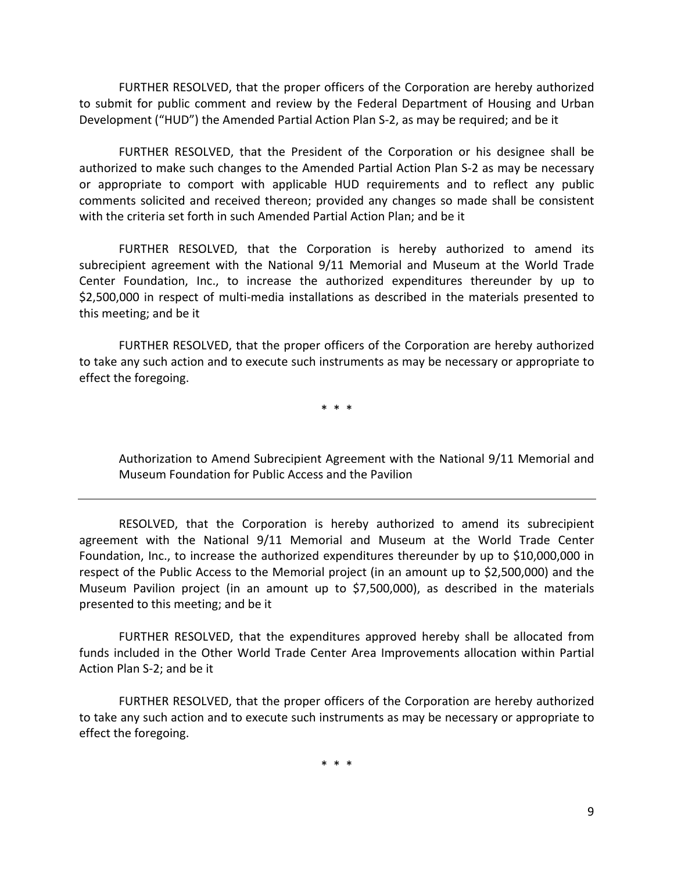FURTHER RESOLVED, that the proper officers of the Corporation are hereby authorized to submit for public comment and review by the Federal Department of Housing and Urban Development ("HUD") the Amended Partial Action Plan S‐2, as may be required; and be it

FURTHER RESOLVED, that the President of the Corporation or his designee shall be authorized to make such changes to the Amended Partial Action Plan S‐2 as may be necessary or appropriate to comport with applicable HUD requirements and to reflect any public comments solicited and received thereon; provided any changes so made shall be consistent with the criteria set forth in such Amended Partial Action Plan; and be it

FURTHER RESOLVED, that the Corporation is hereby authorized to amend its subrecipient agreement with the National 9/11 Memorial and Museum at the World Trade Center Foundation, Inc., to increase the authorized expenditures thereunder by up to \$2,500,000 in respect of multi-media installations as described in the materials presented to this meeting; and be it

FURTHER RESOLVED, that the proper officers of the Corporation are hereby authorized to take any such action and to execute such instruments as may be necessary or appropriate to effect the foregoing.

\* \* \*

Authorization to Amend Subrecipient Agreement with the National 9/11 Memorial and Museum Foundation for Public Access and the Pavilion

RESOLVED, that the Corporation is hereby authorized to amend its subrecipient agreement with the National 9/11 Memorial and Museum at the World Trade Center Foundation, Inc., to increase the authorized expenditures thereunder by up to \$10,000,000 in respect of the Public Access to the Memorial project (in an amount up to \$2,500,000) and the Museum Pavilion project (in an amount up to \$7,500,000), as described in the materials presented to this meeting; and be it

FURTHER RESOLVED, that the expenditures approved hereby shall be allocated from funds included in the Other World Trade Center Area Improvements allocation within Partial Action Plan S‐2; and be it

FURTHER RESOLVED, that the proper officers of the Corporation are hereby authorized to take any such action and to execute such instruments as may be necessary or appropriate to effect the foregoing.

\* \* \*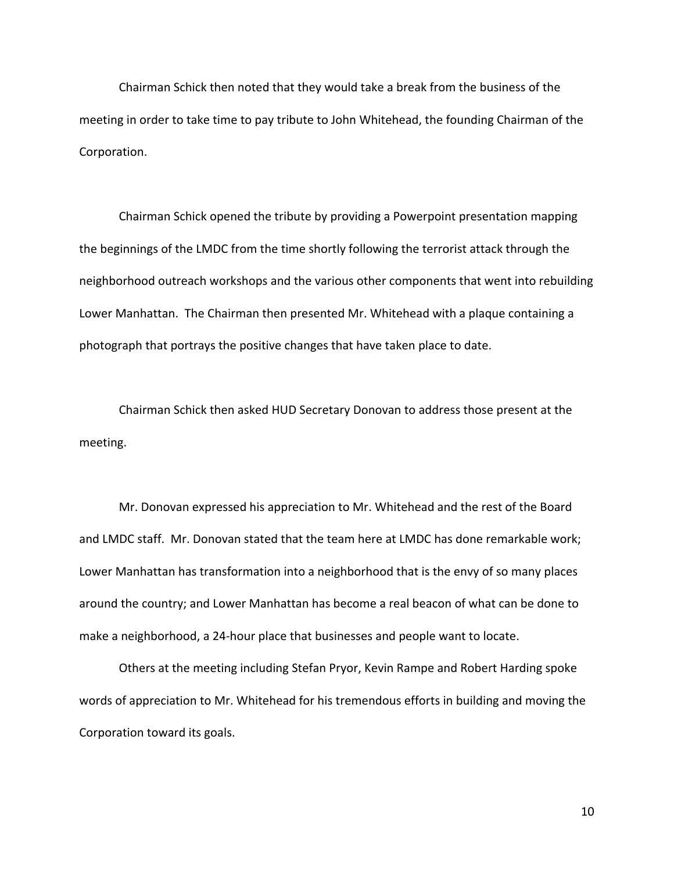Chairman Schick then noted that they would take a break from the business of the meeting in order to take time to pay tribute to John Whitehead, the founding Chairman of the Corporation.

Chairman Schick opened the tribute by providing a Powerpoint presentation mapping the beginnings of the LMDC from the time shortly following the terrorist attack through the neighborhood outreach workshops and the various other components that went into rebuilding Lower Manhattan. The Chairman then presented Mr. Whitehead with a plaque containing a photograph that portrays the positive changes that have taken place to date.

Chairman Schick then asked HUD Secretary Donovan to address those present at the meeting.

Mr. Donovan expressed his appreciation to Mr. Whitehead and the rest of the Board and LMDC staff. Mr. Donovan stated that the team here at LMDC has done remarkable work; Lower Manhattan has transformation into a neighborhood that is the envy of so many places around the country; and Lower Manhattan has become a real beacon of what can be done to make a neighborhood, a 24‐hour place that businesses and people want to locate.

Others at the meeting including Stefan Pryor, Kevin Rampe and Robert Harding spoke words of appreciation to Mr. Whitehead for his tremendous efforts in building and moving the Corporation toward its goals.

10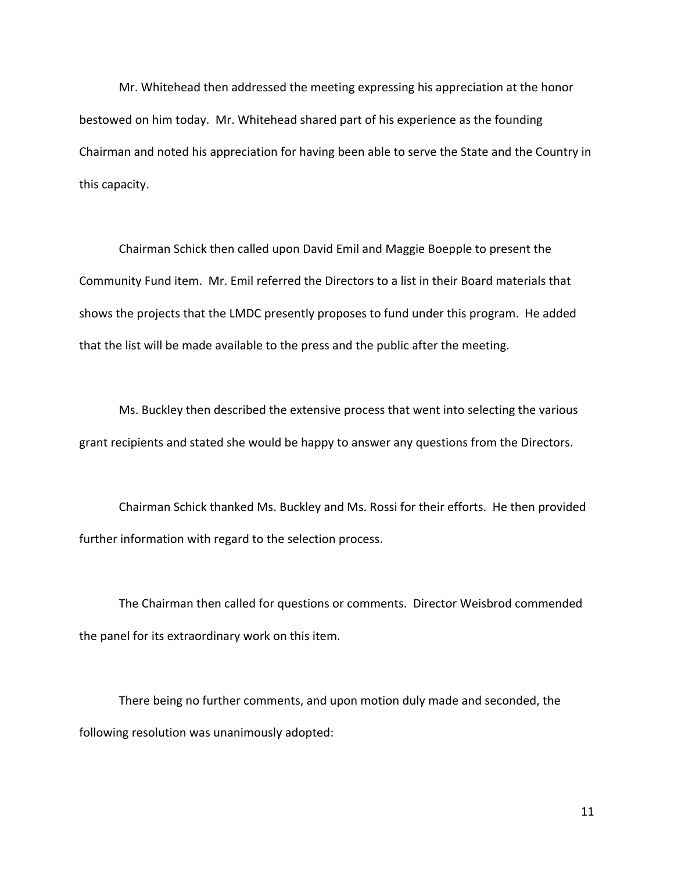Mr. Whitehead then addressed the meeting expressing his appreciation at the honor bestowed on him today. Mr. Whitehead shared part of his experience as the founding Chairman and noted his appreciation for having been able to serve the State and the Country in this capacity.

Chairman Schick then called upon David Emil and Maggie Boepple to present the Community Fund item. Mr. Emil referred the Directors to a list in their Board materials that shows the projects that the LMDC presently proposes to fund under this program. He added that the list will be made available to the press and the public after the meeting.

Ms. Buckley then described the extensive process that went into selecting the various grant recipients and stated she would be happy to answer any questions from the Directors.

Chairman Schick thanked Ms. Buckley and Ms. Rossi for their efforts. He then provided further information with regard to the selection process.

The Chairman then called for questions or comments. Director Weisbrod commended the panel for its extraordinary work on this item.

There being no further comments, and upon motion duly made and seconded, the following resolution was unanimously adopted:

11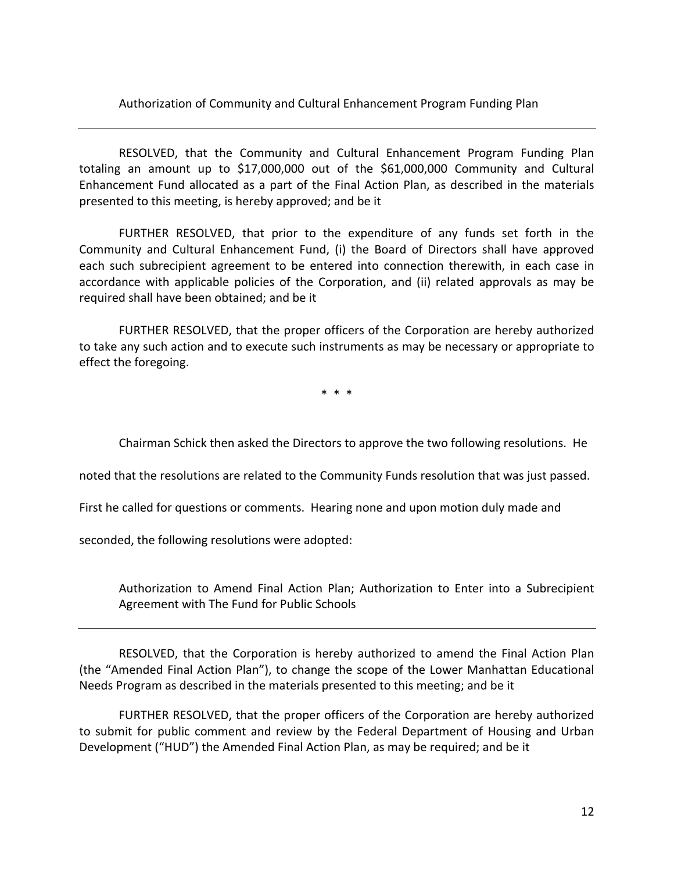Authorization of Community and Cultural Enhancement Program Funding Plan

RESOLVED, that the Community and Cultural Enhancement Program Funding Plan totaling an amount up to \$17,000,000 out of the \$61,000,000 Community and Cultural Enhancement Fund allocated as a part of the Final Action Plan, as described in the materials presented to this meeting, is hereby approved; and be it

FURTHER RESOLVED, that prior to the expenditure of any funds set forth in the Community and Cultural Enhancement Fund, (i) the Board of Directors shall have approved each such subrecipient agreement to be entered into connection therewith, in each case in accordance with applicable policies of the Corporation, and (ii) related approvals as may be required shall have been obtained; and be it

FURTHER RESOLVED, that the proper officers of the Corporation are hereby authorized to take any such action and to execute such instruments as may be necessary or appropriate to effect the foregoing.

\* \* \*

Chairman Schick then asked the Directors to approve the two following resolutions. He

noted that the resolutions are related to the Community Funds resolution that was just passed.

First he called for questions or comments. Hearing none and upon motion duly made and

seconded, the following resolutions were adopted:

Authorization to Amend Final Action Plan; Authorization to Enter into a Subrecipient Agreement with The Fund for Public Schools

RESOLVED, that the Corporation is hereby authorized to amend the Final Action Plan (the "Amended Final Action Plan"), to change the scope of the Lower Manhattan Educational Needs Program as described in the materials presented to this meeting; and be it

FURTHER RESOLVED, that the proper officers of the Corporation are hereby authorized to submit for public comment and review by the Federal Department of Housing and Urban Development ("HUD") the Amended Final Action Plan, as may be required; and be it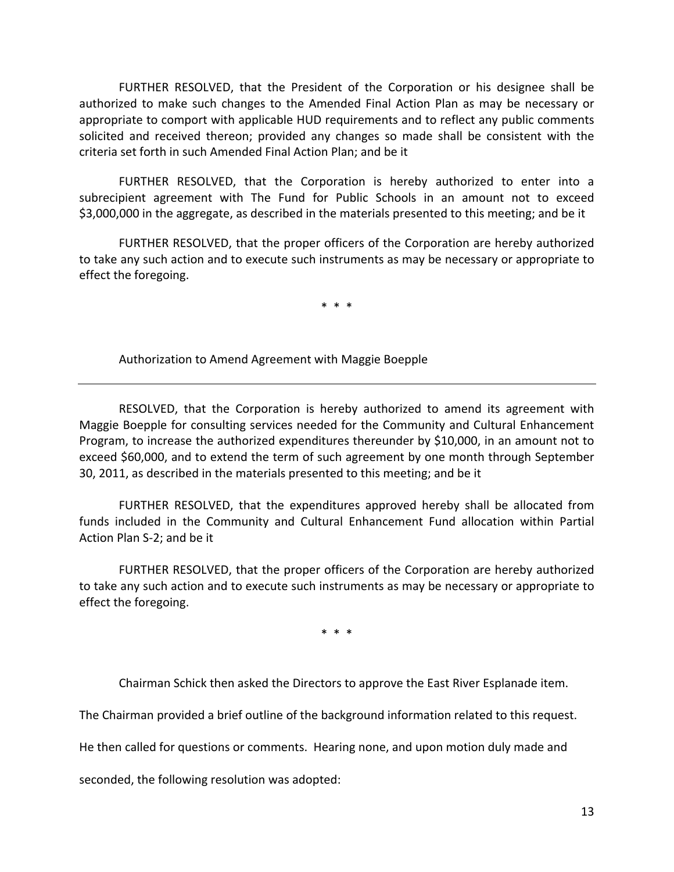FURTHER RESOLVED, that the President of the Corporation or his designee shall be authorized to make such changes to the Amended Final Action Plan as may be necessary or appropriate to comport with applicable HUD requirements and to reflect any public comments solicited and received thereon; provided any changes so made shall be consistent with the criteria set forth in such Amended Final Action Plan; and be it

FURTHER RESOLVED, that the Corporation is hereby authorized to enter into a subrecipient agreement with The Fund for Public Schools in an amount not to exceed \$3,000,000 in the aggregate, as described in the materials presented to this meeting; and be it

FURTHER RESOLVED, that the proper officers of the Corporation are hereby authorized to take any such action and to execute such instruments as may be necessary or appropriate to effect the foregoing.

\* \* \*

Authorization to Amend Agreement with Maggie Boepple

RESOLVED, that the Corporation is hereby authorized to amend its agreement with Maggie Boepple for consulting services needed for the Community and Cultural Enhancement Program, to increase the authorized expenditures thereunder by \$10,000, in an amount not to exceed \$60,000, and to extend the term of such agreement by one month through September 30, 2011, as described in the materials presented to this meeting; and be it

FURTHER RESOLVED, that the expenditures approved hereby shall be allocated from funds included in the Community and Cultural Enhancement Fund allocation within Partial Action Plan S‐2; and be it

FURTHER RESOLVED, that the proper officers of the Corporation are hereby authorized to take any such action and to execute such instruments as may be necessary or appropriate to effect the foregoing.

\* \* \*

Chairman Schick then asked the Directors to approve the East River Esplanade item.

The Chairman provided a brief outline of the background information related to this request.

He then called for questions or comments. Hearing none, and upon motion duly made and

seconded, the following resolution was adopted: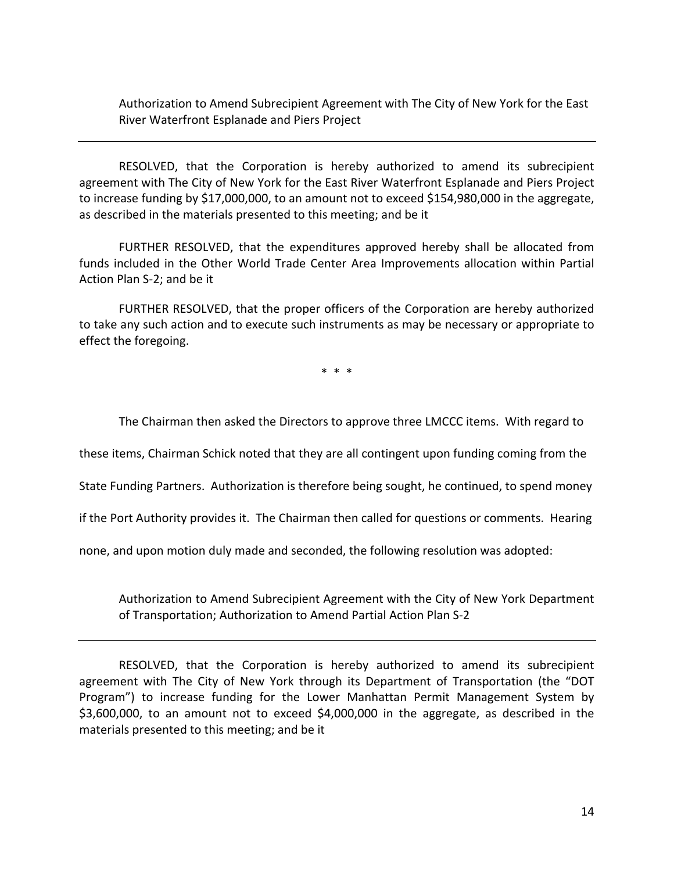Authorization to Amend Subrecipient Agreement with The City of New York for the East River Waterfront Esplanade and Piers Project

RESOLVED, that the Corporation is hereby authorized to amend its subrecipient agreement with The City of New York for the East River Waterfront Esplanade and Piers Project to increase funding by \$17,000,000, to an amount not to exceed \$154,980,000 in the aggregate, as described in the materials presented to this meeting; and be it

FURTHER RESOLVED, that the expenditures approved hereby shall be allocated from funds included in the Other World Trade Center Area Improvements allocation within Partial Action Plan S‐2; and be it

FURTHER RESOLVED, that the proper officers of the Corporation are hereby authorized to take any such action and to execute such instruments as may be necessary or appropriate to effect the foregoing.

\* \* \*

The Chairman then asked the Directors to approve three LMCCC items. With regard to

these items, Chairman Schick noted that they are all contingent upon funding coming from the

State Funding Partners. Authorization is therefore being sought, he continued, to spend money

if the Port Authority provides it. The Chairman then called for questions or comments. Hearing

none, and upon motion duly made and seconded, the following resolution was adopted:

Authorization to Amend Subrecipient Agreement with the City of New York Department of Transportation; Authorization to Amend Partial Action Plan S‐2

RESOLVED, that the Corporation is hereby authorized to amend its subrecipient agreement with The City of New York through its Department of Transportation (the "DOT Program") to increase funding for the Lower Manhattan Permit Management System by \$3,600,000, to an amount not to exceed \$4,000,000 in the aggregate, as described in the materials presented to this meeting; and be it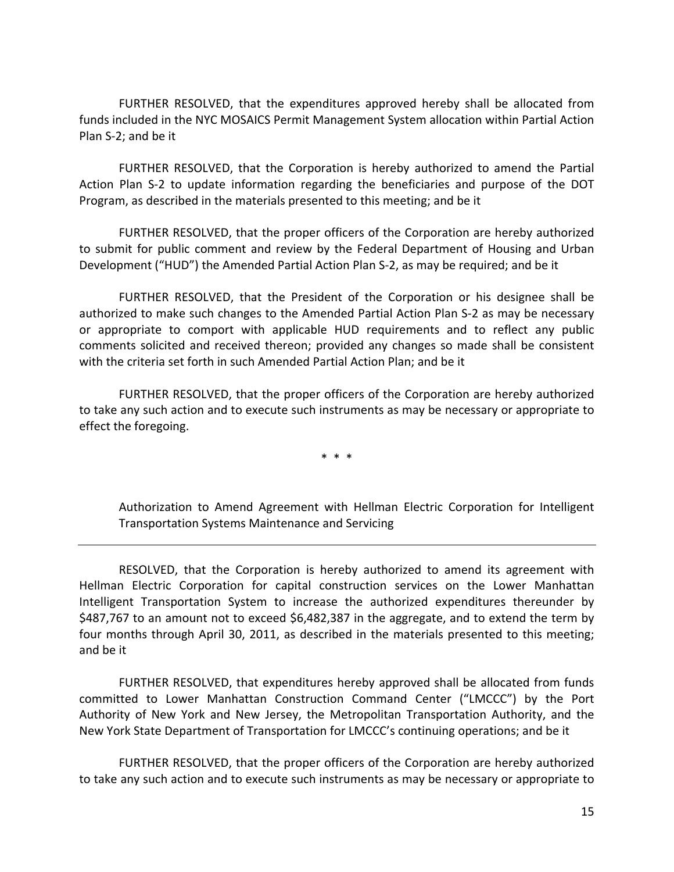FURTHER RESOLVED, that the expenditures approved hereby shall be allocated from funds included in the NYC MOSAICS Permit Management System allocation within Partial Action Plan S‐2; and be it

FURTHER RESOLVED, that the Corporation is hereby authorized to amend the Partial Action Plan S‐2 to update information regarding the beneficiaries and purpose of the DOT Program, as described in the materials presented to this meeting; and be it

FURTHER RESOLVED, that the proper officers of the Corporation are hereby authorized to submit for public comment and review by the Federal Department of Housing and Urban Development ("HUD") the Amended Partial Action Plan S‐2, as may be required; and be it

FURTHER RESOLVED, that the President of the Corporation or his designee shall be authorized to make such changes to the Amended Partial Action Plan S‐2 as may be necessary or appropriate to comport with applicable HUD requirements and to reflect any public comments solicited and received thereon; provided any changes so made shall be consistent with the criteria set forth in such Amended Partial Action Plan; and be it

FURTHER RESOLVED, that the proper officers of the Corporation are hereby authorized to take any such action and to execute such instruments as may be necessary or appropriate to effect the foregoing.

\* \* \*

Authorization to Amend Agreement with Hellman Electric Corporation for Intelligent Transportation Systems Maintenance and Servicing

RESOLVED, that the Corporation is hereby authorized to amend its agreement with Hellman Electric Corporation for capital construction services on the Lower Manhattan Intelligent Transportation System to increase the authorized expenditures thereunder by \$487,767 to an amount not to exceed \$6,482,387 in the aggregate, and to extend the term by four months through April 30, 2011, as described in the materials presented to this meeting; and be it

FURTHER RESOLVED, that expenditures hereby approved shall be allocated from funds committed to Lower Manhattan Construction Command Center ("LMCCC") by the Port Authority of New York and New Jersey, the Metropolitan Transportation Authority, and the New York State Department of Transportation for LMCCC's continuing operations; and be it

FURTHER RESOLVED, that the proper officers of the Corporation are hereby authorized to take any such action and to execute such instruments as may be necessary or appropriate to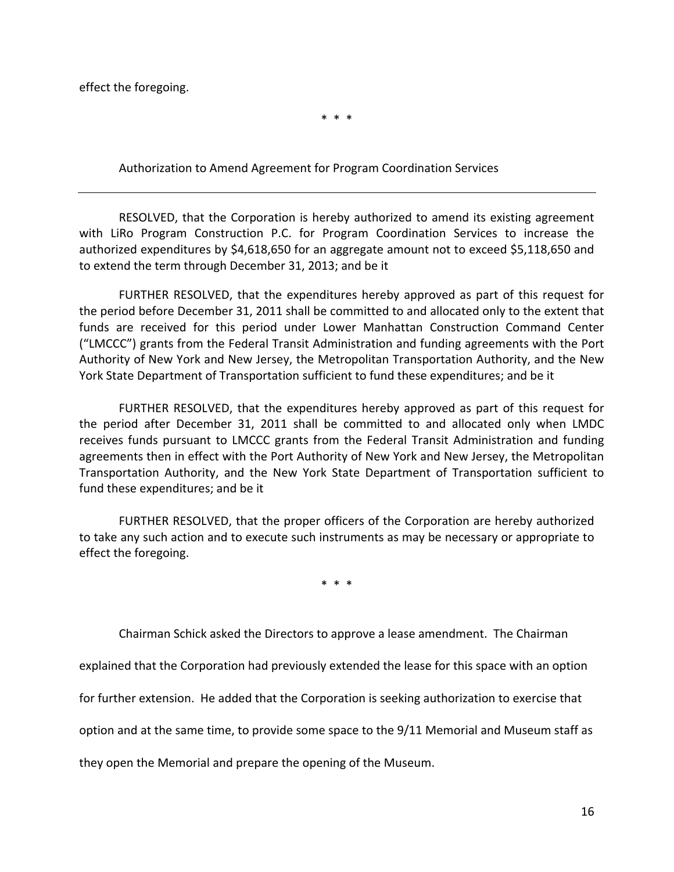effect the foregoing.

\* \* \*

Authorization to Amend Agreement for Program Coordination Services

RESOLVED, that the Corporation is hereby authorized to amend its existing agreement with LiRo Program Construction P.C. for Program Coordination Services to increase the authorized expenditures by \$4,618,650 for an aggregate amount not to exceed \$5,118,650 and to extend the term through December 31, 2013; and be it

FURTHER RESOLVED, that the expenditures hereby approved as part of this request for the period before December 31, 2011 shall be committed to and allocated only to the extent that funds are received for this period under Lower Manhattan Construction Command Center ("LMCCC") grants from the Federal Transit Administration and funding agreements with the Port Authority of New York and New Jersey, the Metropolitan Transportation Authority, and the New York State Department of Transportation sufficient to fund these expenditures; and be it

FURTHER RESOLVED, that the expenditures hereby approved as part of this request for the period after December 31, 2011 shall be committed to and allocated only when LMDC receives funds pursuant to LMCCC grants from the Federal Transit Administration and funding agreements then in effect with the Port Authority of New York and New Jersey, the Metropolitan Transportation Authority, and the New York State Department of Transportation sufficient to fund these expenditures; and be it

FURTHER RESOLVED, that the proper officers of the Corporation are hereby authorized to take any such action and to execute such instruments as may be necessary or appropriate to effect the foregoing.

\* \* \*

Chairman Schick asked the Directors to approve a lease amendment. The Chairman

explained that the Corporation had previously extended the lease for this space with an option

for further extension. He added that the Corporation is seeking authorization to exercise that

option and at the same time, to provide some space to the 9/11 Memorial and Museum staff as

they open the Memorial and prepare the opening of the Museum.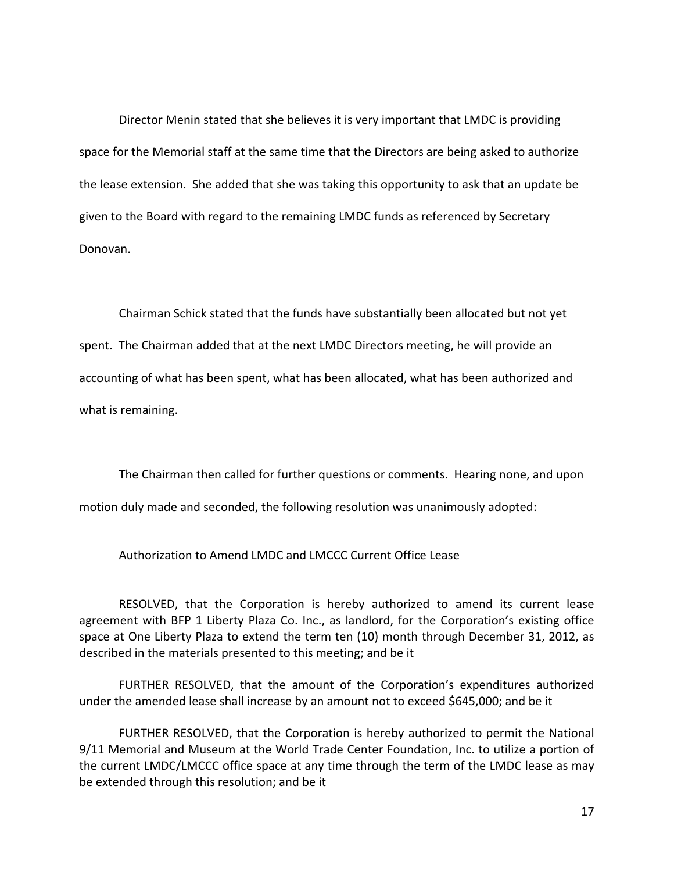Director Menin stated that she believes it is very important that LMDC is providing space for the Memorial staff at the same time that the Directors are being asked to authorize the lease extension. She added that she was taking this opportunity to ask that an update be given to the Board with regard to the remaining LMDC funds as referenced by Secretary Donovan.

Chairman Schick stated that the funds have substantially been allocated but not yet spent. The Chairman added that at the next LMDC Directors meeting, he will provide an accounting of what has been spent, what has been allocated, what has been authorized and what is remaining.

The Chairman then called for further questions or comments. Hearing none, and upon

motion duly made and seconded, the following resolution was unanimously adopted:

Authorization to Amend LMDC and LMCCC Current Office Lease

RESOLVED, that the Corporation is hereby authorized to amend its current lease agreement with BFP 1 Liberty Plaza Co. Inc., as landlord, for the Corporation's existing office space at One Liberty Plaza to extend the term ten (10) month through December 31, 2012, as described in the materials presented to this meeting; and be it

FURTHER RESOLVED, that the amount of the Corporation's expenditures authorized under the amended lease shall increase by an amount not to exceed \$645,000; and be it

FURTHER RESOLVED, that the Corporation is hereby authorized to permit the National 9/11 Memorial and Museum at the World Trade Center Foundation, Inc. to utilize a portion of the current LMDC/LMCCC office space at any time through the term of the LMDC lease as may be extended through this resolution; and be it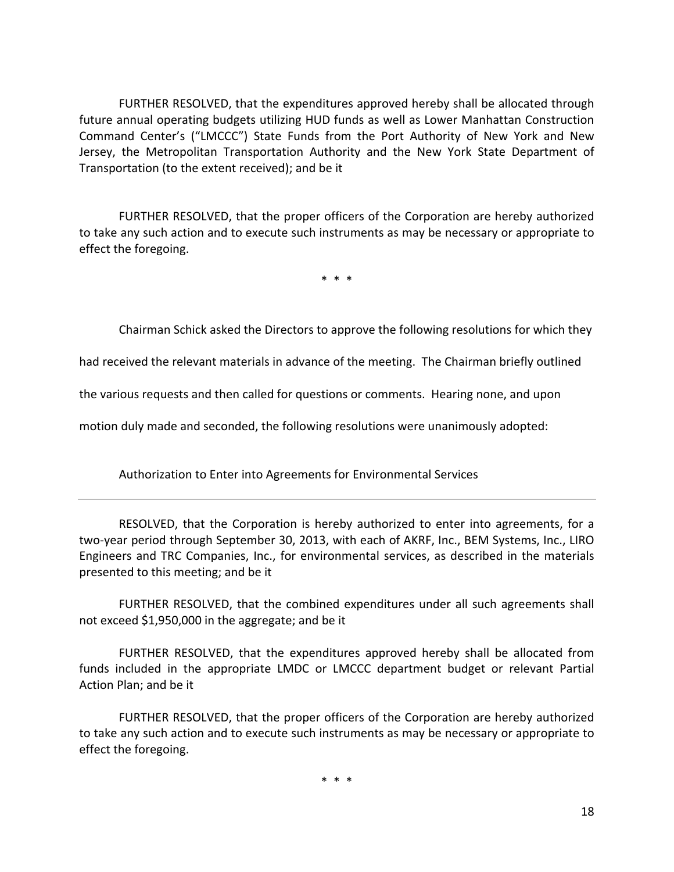FURTHER RESOLVED, that the expenditures approved hereby shall be allocated through future annual operating budgets utilizing HUD funds as well as Lower Manhattan Construction Command Center's ("LMCCC") State Funds from the Port Authority of New York and New Jersey, the Metropolitan Transportation Authority and the New York State Department of Transportation (to the extent received); and be it

FURTHER RESOLVED, that the proper officers of the Corporation are hereby authorized to take any such action and to execute such instruments as may be necessary or appropriate to effect the foregoing.

\* \* \*

Chairman Schick asked the Directors to approve the following resolutions for which they

had received the relevant materials in advance of the meeting. The Chairman briefly outlined

the various requests and then called for questions or comments. Hearing none, and upon

motion duly made and seconded, the following resolutions were unanimously adopted:

Authorization to Enter into Agreements for Environmental Services

RESOLVED, that the Corporation is hereby authorized to enter into agreements, for a two-year period through September 30, 2013, with each of AKRF, Inc., BEM Systems, Inc., LIRO Engineers and TRC Companies, Inc., for environmental services, as described in the materials presented to this meeting; and be it

FURTHER RESOLVED, that the combined expenditures under all such agreements shall not exceed \$1,950,000 in the aggregate; and be it

FURTHER RESOLVED, that the expenditures approved hereby shall be allocated from funds included in the appropriate LMDC or LMCCC department budget or relevant Partial Action Plan; and be it

FURTHER RESOLVED, that the proper officers of the Corporation are hereby authorized to take any such action and to execute such instruments as may be necessary or appropriate to effect the foregoing.

\* \* \*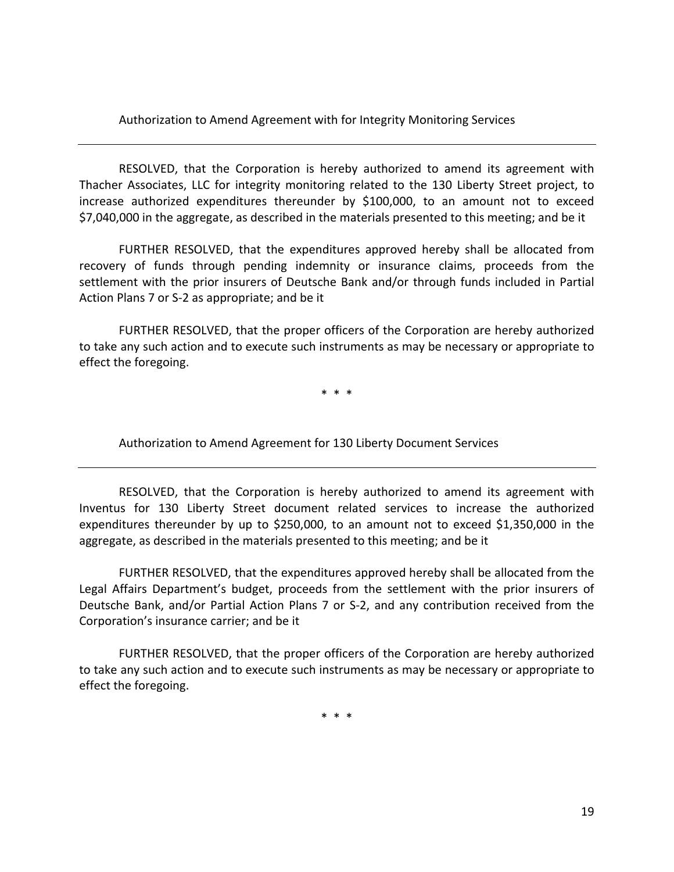Authorization to Amend Agreement with for Integrity Monitoring Services

RESOLVED, that the Corporation is hereby authorized to amend its agreement with Thacher Associates, LLC for integrity monitoring related to the 130 Liberty Street project, to increase authorized expenditures thereunder by \$100,000, to an amount not to exceed \$7,040,000 in the aggregate, as described in the materials presented to this meeting; and be it

FURTHER RESOLVED, that the expenditures approved hereby shall be allocated from recovery of funds through pending indemnity or insurance claims, proceeds from the settlement with the prior insurers of Deutsche Bank and/or through funds included in Partial Action Plans 7 or S‐2 as appropriate; and be it

FURTHER RESOLVED, that the proper officers of the Corporation are hereby authorized to take any such action and to execute such instruments as may be necessary or appropriate to effect the foregoing.

\* \* \*

Authorization to Amend Agreement for 130 Liberty Document Services

RESOLVED, that the Corporation is hereby authorized to amend its agreement with Inventus for 130 Liberty Street document related services to increase the authorized expenditures thereunder by up to \$250,000, to an amount not to exceed \$1,350,000 in the aggregate, as described in the materials presented to this meeting; and be it

FURTHER RESOLVED, that the expenditures approved hereby shall be allocated from the Legal Affairs Department's budget, proceeds from the settlement with the prior insurers of Deutsche Bank, and/or Partial Action Plans 7 or S‐2, and any contribution received from the Corporation's insurance carrier; and be it

FURTHER RESOLVED, that the proper officers of the Corporation are hereby authorized to take any such action and to execute such instruments as may be necessary or appropriate to effect the foregoing.

\* \* \*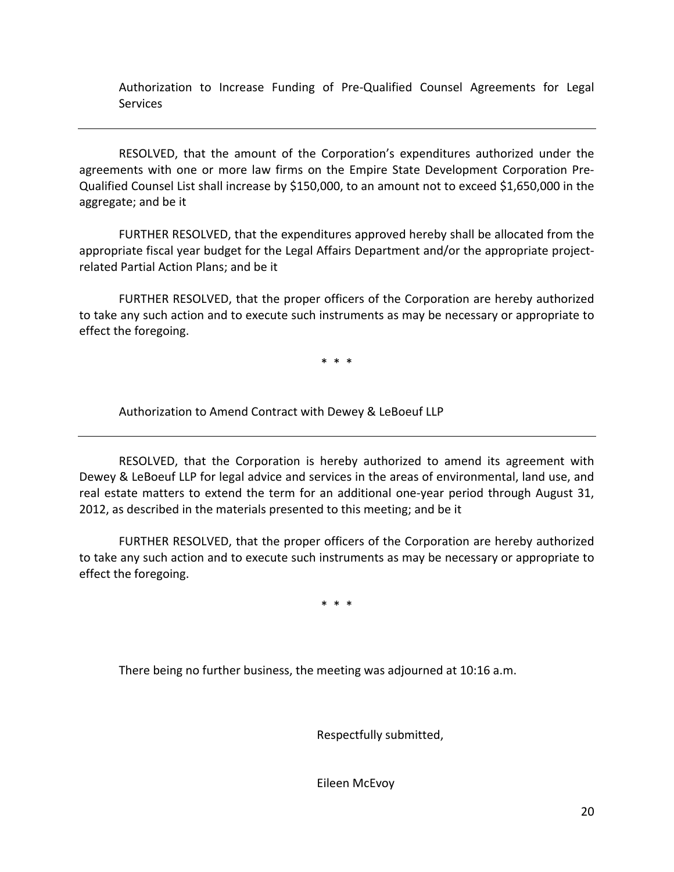Authorization to Increase Funding of Pre‐Qualified Counsel Agreements for Legal **Services** 

RESOLVED, that the amount of the Corporation's expenditures authorized under the agreements with one or more law firms on the Empire State Development Corporation Pre‐ Qualified Counsel List shall increase by \$150,000, to an amount not to exceed \$1,650,000 in the aggregate; and be it

FURTHER RESOLVED, that the expenditures approved hereby shall be allocated from the appropriate fiscal year budget for the Legal Affairs Department and/or the appropriate projectrelated Partial Action Plans; and be it

FURTHER RESOLVED, that the proper officers of the Corporation are hereby authorized to take any such action and to execute such instruments as may be necessary or appropriate to effect the foregoing.

\* \* \*

Authorization to Amend Contract with Dewey & LeBoeuf LLP

RESOLVED, that the Corporation is hereby authorized to amend its agreement with Dewey & LeBoeuf LLP for legal advice and services in the areas of environmental, land use, and real estate matters to extend the term for an additional one‐year period through August 31, 2012, as described in the materials presented to this meeting; and be it

FURTHER RESOLVED, that the proper officers of the Corporation are hereby authorized to take any such action and to execute such instruments as may be necessary or appropriate to effect the foregoing.

\* \* \*

There being no further business, the meeting was adjourned at 10:16 a.m.

Respectfully submitted,

Eileen McEvoy